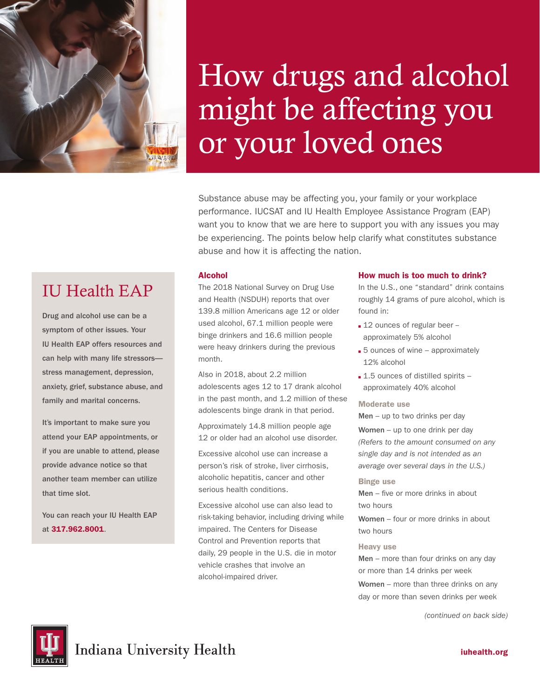

IU Health EAP

Drug and alcohol use can be a symptom of other issues. Your IU Health EAP offers resources and can help with many life stressors stress management, depression, anxiety, grief, substance abuse, and

family and marital concerns.

that time slot.

at 317.962.8001.

It's important to make sure you attend your EAP appointments, or if you are unable to attend, please provide advance notice so that another team member can utilize

You can reach your IU Health EAP

# How drugs and alcohol might be affecting you or your loved ones

Substance abuse may be affecting you, your family or your workplace performance. IUCSAT and IU Health Employee Assistance Program (EAP) want you to know that we are here to support you with any issues you may be experiencing. The points below help clarify what constitutes substance abuse and how it is affecting the nation.

## Alcohol

The 2018 National Survey on Drug Use and Health (NSDUH) reports that over 139.8 million Americans age 12 or older used alcohol, 67.1 million people were binge drinkers and 16.6 million people were heavy drinkers during the previous month.

Also in 2018, about 2.2 million adolescents ages 12 to 17 drank alcohol in the past month, and 1.2 million of these adolescents binge drank in that period.

Approximately 14.8 million people age 12 or older had an alcohol use disorder.

Excessive alcohol use can increase a person's risk of stroke, liver cirrhosis, alcoholic hepatitis, cancer and other serious health conditions.

Excessive alcohol use can also lead to risk-taking behavior, including driving while impaired. The Centers for Disease Control and Prevention reports that daily, 29 people in the U.S. die in motor vehicle crashes that involve an alcohol-impaired driver.

### How much is too much to drink?

In the U.S., one "standard" drink contains roughly 14 grams of pure alcohol, which is found in:

- 12 ounces of regular beer -approximately 5% alcohol
- $\overline{\phantom{a}}$  5 ounces of wine approximately 12% alcohol
- $\blacksquare$  1.5 ounces of distilled spirits approximately 40% alcohol

#### Moderate use

Men – up to two drinks per day

Women – up to one drink per day *(Refers to the amount consumed on any single day and is not intended as an average over several days in the U.S.)* 

#### Binge use

Men – five or more drinks in about two hours

Women – four or more drinks in about two hours

#### Heavy use

Men – more than four drinks on any day or more than 14 drinks per week Women – more than three drinks on any day or more than seven drinks per week

*(continued on back side)*